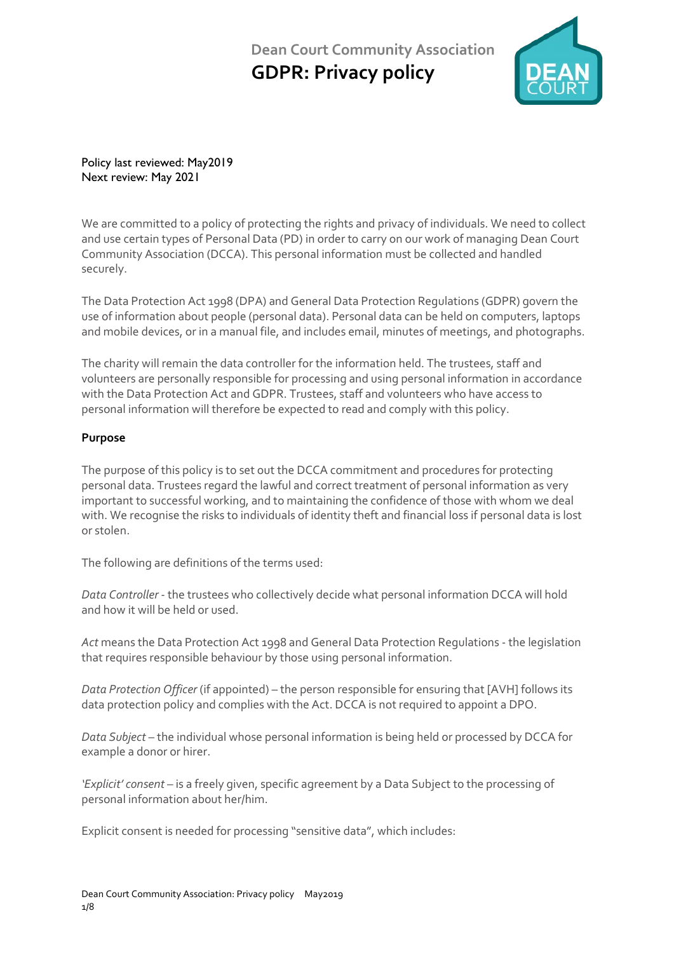

Policy last reviewed: May2019 Next review: May 2021

We are committed to a policy of protecting the rights and privacy of individuals. We need to collect and use certain types of Personal Data (PD) in order to carry on our work of managing Dean Court Community Association (DCCA). This personal information must be collected and handled securely.

The Data Protection Act 1998 (DPA) and General Data Protection Regulations (GDPR) govern the use of information about people (personal data). Personal data can be held on computers, laptops and mobile devices, or in a manual file, and includes email, minutes of meetings, and photographs.

The charity will remain the data controller for the information held. The trustees, staff and volunteers are personally responsible for processing and using personal information in accordance with the Data Protection Act and GDPR. Trustees, staff and volunteers who have access to personal information will therefore be expected to read and comply with this policy.

## **Purpose**

The purpose of this policy is to set out the DCCA commitment and procedures for protecting personal data. Trustees regard the lawful and correct treatment of personal information as very important to successful working, and to maintaining the confidence of those with whom we deal with. We recognise the risks to individuals of identity theft and financial loss if personal data is lost or stolen.

The following are definitions of the terms used:

*Data Controller* - the trustees who collectively decide what personal information DCCA will hold and how it will be held or used.

*Act* means the Data Protection Act 1998 and General Data Protection Regulations - the legislation that requires responsible behaviour by those using personal information.

*Data Protection Officer* (if appointed) – the person responsible for ensuring that [AVH] follows its data protection policy and complies with the Act. DCCA is not required to appoint a DPO.

*Data Subject* – the individual whose personal information is being held or processed by DCCA for example a donor or hirer.

*'Explicit' consent* – is a freely given, specific agreement by a Data Subject to the processing of personal information about her/him.

Explicit consent is needed for processing "sensitive data", which includes: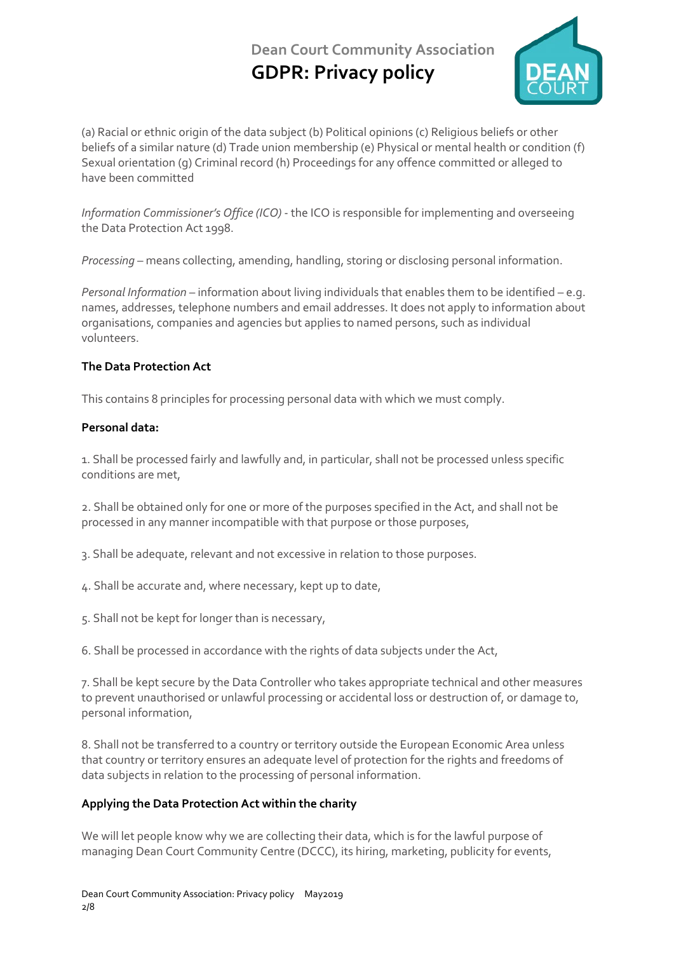

(a) Racial or ethnic origin of the data subject (b) Political opinions (c) Religious beliefs or other beliefs of a similar nature (d) Trade union membership (e) Physical or mental health or condition (f) Sexual orientation (g) Criminal record (h) Proceedings for any offence committed or alleged to have been committed

*Information Commissioner's Office (ICO)* - the ICO is responsible for implementing and overseeing the Data Protection Act 1998.

*Processing* – means collecting, amending, handling, storing or disclosing personal information.

*Personal Information* – information about living individuals that enables them to be identified – e.g. names, addresses, telephone numbers and email addresses. It does not apply to information about organisations, companies and agencies but applies to named persons, such as individual volunteers.

## **The Data Protection Act**

This contains 8 principles for processing personal data with which we must comply.

## **Personal data:**

1. Shall be processed fairly and lawfully and, in particular, shall not be processed unless specific conditions are met,

2. Shall be obtained only for one or more of the purposes specified in the Act, and shall not be processed in any manner incompatible with that purpose or those purposes,

3. Shall be adequate, relevant and not excessive in relation to those purposes.

- 4. Shall be accurate and, where necessary, kept up to date,
- 5. Shall not be kept for longer than is necessary,

6. Shall be processed in accordance with the rights of data subjects under the Act,

7. Shall be kept secure by the Data Controller who takes appropriate technical and other measures to prevent unauthorised or unlawful processing or accidental loss or destruction of, or damage to, personal information,

8. Shall not be transferred to a country or territory outside the European Economic Area unless that country or territory ensures an adequate level of protection for the rights and freedoms of data subjects in relation to the processing of personal information.

## **Applying the Data Protection Act within the charity**

We will let people know why we are collecting their data, which is for the lawful purpose of managing Dean Court Community Centre (DCCC), its hiring, marketing, publicity for events,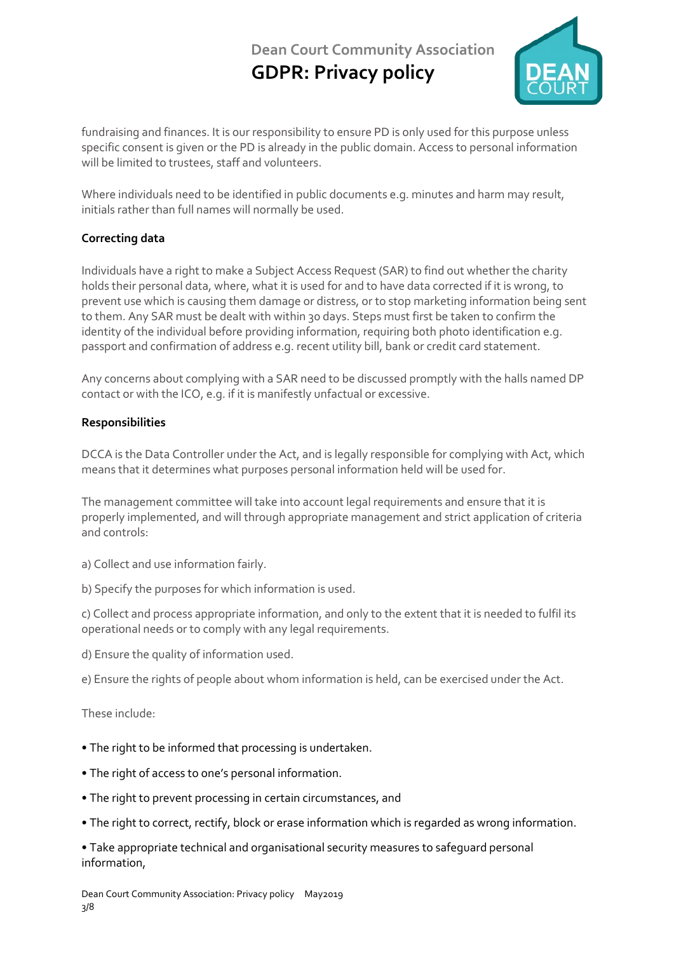

fundraising and finances. It is our responsibility to ensure PD is only used for this purpose unless specific consent is given or the PD is already in the public domain. Access to personal information will be limited to trustees, staff and volunteers.

Where individuals need to be identified in public documents e.g. minutes and harm may result, initials rather than full names will normally be used.

## **Correcting data**

Individuals have a right to make a Subject Access Request (SAR) to find out whether the charity holds their personal data, where, what it is used for and to have data corrected if it is wrong, to prevent use which is causing them damage or distress, or to stop marketing information being sent to them. Any SAR must be dealt with within 30 days. Steps must first be taken to confirm the identity of the individual before providing information, requiring both photo identification e.g. passport and confirmation of address e.g. recent utility bill, bank or credit card statement.

Any concerns about complying with a SAR need to be discussed promptly with the halls named DP contact or with the ICO, e.g. if it is manifestly unfactual or excessive.

## **Responsibilities**

DCCA is the Data Controller under the Act, and is legally responsible for complying with Act, which means that it determines what purposes personal information held will be used for.

The management committee will take into account legal requirements and ensure that it is properly implemented, and will through appropriate management and strict application of criteria and controls:

- a) Collect and use information fairly.
- b) Specify the purposes for which information is used.

c) Collect and process appropriate information, and only to the extent that it is needed to fulfil its operational needs or to comply with any legal requirements.

d) Ensure the quality of information used.

e) Ensure the rights of people about whom information is held, can be exercised under the Act.

These include:

## **•** The right to be informed that processing is undertaken.

- The right of access to one's personal information.
- The right to prevent processing in certain circumstances, and
- The right to correct, rectify, block or erase information which is regarded as wrong information.

**•** Take appropriate technical and organisational security measures to safeguard personal information,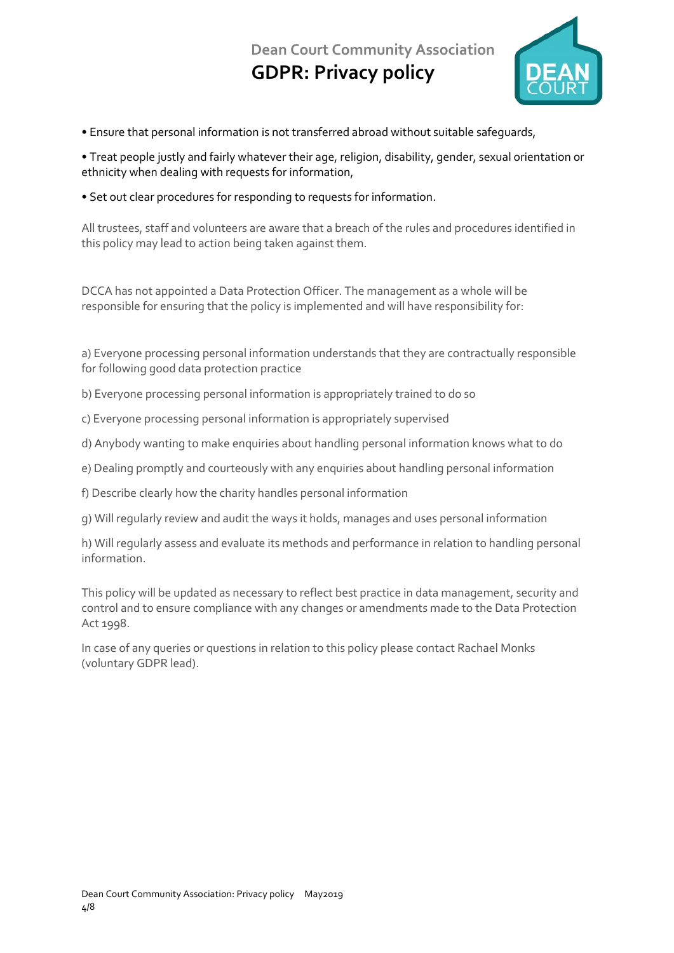

**•** Ensure that personal information is not transferred abroad without suitable safeguards,

**•** Treat people justly and fairly whatever their age, religion, disability, gender, sexual orientation or ethnicity when dealing with requests for information,

**•** Set out clear procedures for responding to requests for information.

All trustees, staff and volunteers are aware that a breach of the rules and procedures identified in this policy may lead to action being taken against them.

DCCA has not appointed a Data Protection Officer. The management as a whole will be responsible for ensuring that the policy is implemented and will have responsibility for:

a) Everyone processing personal information understands that they are contractually responsible for following good data protection practice

- b) Everyone processing personal information is appropriately trained to do so
- c) Everyone processing personal information is appropriately supervised
- d) Anybody wanting to make enquiries about handling personal information knows what to do
- e) Dealing promptly and courteously with any enquiries about handling personal information
- f) Describe clearly how the charity handles personal information

g) Will regularly review and audit the ways it holds, manages and uses personal information

h) Will regularly assess and evaluate its methods and performance in relation to handling personal information.

This policy will be updated as necessary to reflect best practice in data management, security and control and to ensure compliance with any changes or amendments made to the Data Protection Act 1998.

In case of any queries or questions in relation to this policy please contact Rachael Monks (voluntary GDPR lead).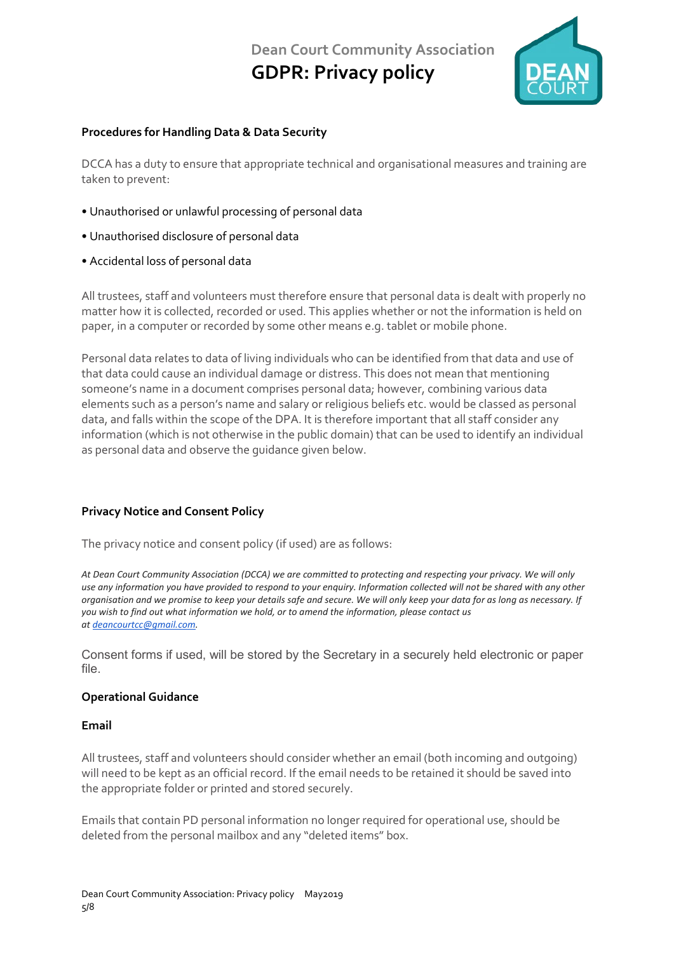

### **Procedures for Handling Data & Data Security**

DCCA has a duty to ensure that appropriate technical and organisational measures and training are taken to prevent:

- Unauthorised or unlawful processing of personal data
- Unauthorised disclosure of personal data
- Accidental loss of personal data

All trustees, staff and volunteers must therefore ensure that personal data is dealt with properly no matter how it is collected, recorded or used. This applies whether or not the information is held on paper, in a computer or recorded by some other means e.g. tablet or mobile phone.

Personal data relates to data of living individuals who can be identified from that data and use of that data could cause an individual damage or distress. This does not mean that mentioning someone's name in a document comprises personal data; however, combining various data elements such as a person's name and salary or religious beliefs etc. would be classed as personal data, and falls within the scope of the DPA. It is therefore important that all staff consider any information (which is not otherwise in the public domain) that can be used to identify an individual as personal data and observe the guidance given below.

## **Privacy Notice and Consent Policy**

The privacy notice and consent policy (if used) are as follows:

*At Dean Court Community Association (DCCA) we are committed to protecting and respecting your privacy. We will only use any information you have provided to respond to your enquiry. Information collected will not be shared with any other organisation and we promise to keep your details safe and secure. We will only keep your data for as long as necessary. If you wish to find out what information we hold, or to amend the information, please contact us at [deancourtcc@gmail.com.](mailto:deancourtcc@gmail.com)*

Consent forms if used, will be stored by the Secretary in a securely held electronic or paper file.

#### **Operational Guidance**

#### **Email**

All trustees, staff and volunteers should consider whether an email (both incoming and outgoing) will need to be kept as an official record. If the email needs to be retained it should be saved into the appropriate folder or printed and stored securely.

Emails that contain PD personal information no longer required for operational use, should be deleted from the personal mailbox and any "deleted items" box.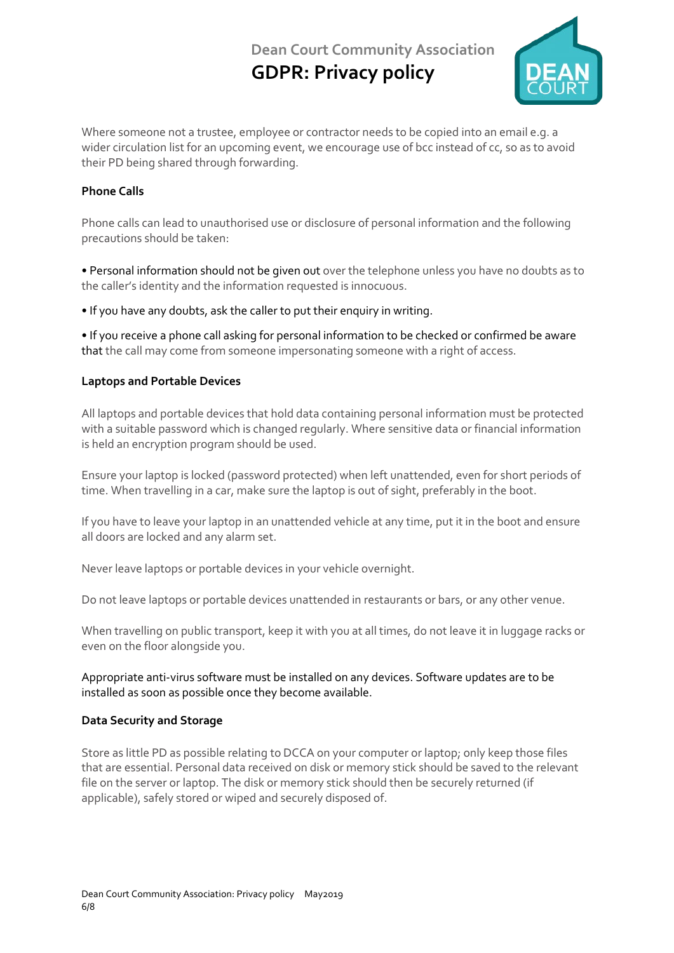

Where someone not a trustee, employee or contractor needs to be copied into an email e.g. a wider circulation list for an upcoming event, we encourage use of bcc instead of cc, so as to avoid their PD being shared through forwarding.

#### **Phone Calls**

Phone calls can lead to unauthorised use or disclosure of personal information and the following precautions should be taken:

**•** Personal information should not be given out over the telephone unless you have no doubts as to the caller's identity and the information requested is innocuous.

**•** If you have any doubts, ask the caller to put their enquiry in writing.

**•** If you receive a phone call asking for personal information to be checked or confirmed be aware that the call may come from someone impersonating someone with a right of access.

#### **Laptops and Portable Devices**

All laptops and portable devices that hold data containing personal information must be protected with a suitable password which is changed regularly. Where sensitive data or financial information is held an encryption program should be used.

Ensure your laptop is locked (password protected) when left unattended, even for short periods of time. When travelling in a car, make sure the laptop is out of sight, preferably in the boot.

If you have to leave your laptop in an unattended vehicle at any time, put it in the boot and ensure all doors are locked and any alarm set.

Never leave laptops or portable devices in your vehicle overnight.

Do not leave laptops or portable devices unattended in restaurants or bars, or any other venue.

When travelling on public transport, keep it with you at all times, do not leave it in luggage racks or even on the floor alongside you.

Appropriate anti-virus software must be installed on any devices. Software updates are to be installed as soon as possible once they become available.

#### **Data Security and Storage**

Store as little PD as possible relating to DCCA on your computer or laptop; only keep those files that are essential. Personal data received on disk or memory stick should be saved to the relevant file on the server or laptop. The disk or memory stick should then be securely returned (if applicable), safely stored or wiped and securely disposed of.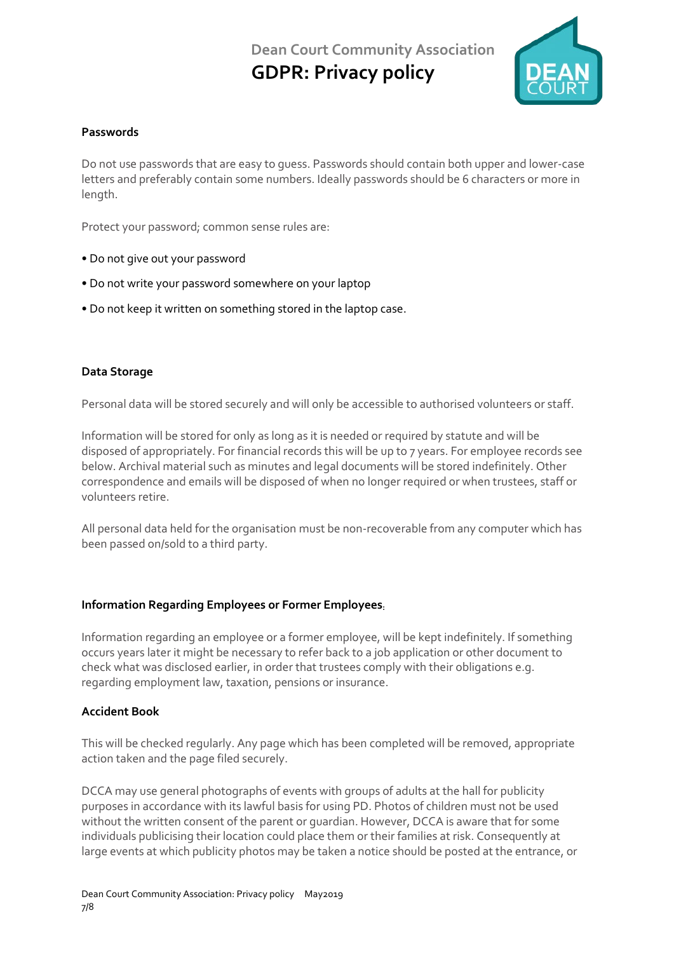

### **Passwords**

Do not use passwords that are easy to guess. Passwords should contain both upper and lower-case letters and preferably contain some numbers. Ideally passwords should be 6 characters or more in length.

Protect your password; common sense rules are:

- Do not give out your password
- Do not write your password somewhere on your laptop
- Do not keep it written on something stored in the laptop case.

#### **Data Storage**

Personal data will be stored securely and will only be accessible to authorised volunteers or staff.

Information will be stored for only as long as it is needed or required by statute and will be disposed of appropriately. For financial records this will be up to 7 years. For employee records see below. Archival material such as minutes and legal documents will be stored indefinitely. Other correspondence and emails will be disposed of when no longer required or when trustees, staff or volunteers retire.

All personal data held for the organisation must be non-recoverable from any computer which has been passed on/sold to a third party.

#### **Information Regarding Employees or Former Employees:**

Information regarding an employee or a former employee, will be kept indefinitely. If something occurs years later it might be necessary to refer back to a job application or other document to check what was disclosed earlier, in order that trustees comply with their obligations e.g. regarding employment law, taxation, pensions or insurance.

#### **Accident Book**

This will be checked regularly. Any page which has been completed will be removed, appropriate action taken and the page filed securely.

DCCA may use general photographs of events with groups of adults at the hall for publicity purposes in accordance with its lawful basis for using PD. Photos of children must not be used without the written consent of the parent or guardian. However, DCCA is aware that for some individuals publicising their location could place them or their families at risk. Consequently at large events at which publicity photos may be taken a notice should be posted at the entrance, or